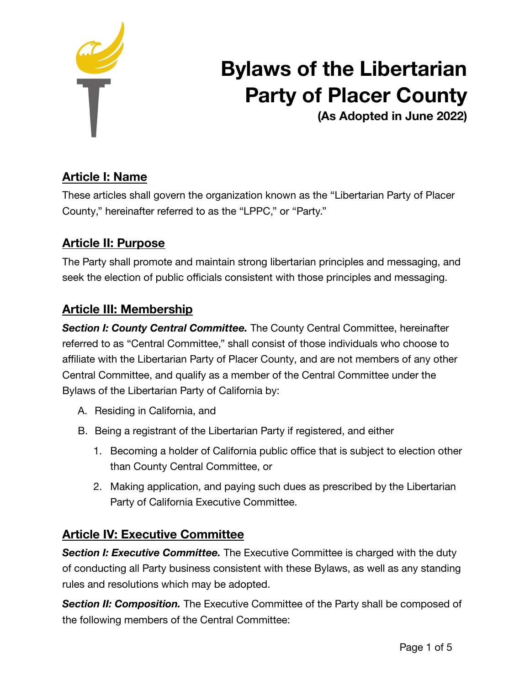

# **Bylaws of the Libertarian Party of Placer County**

**(As Adopted in June 2022)**

# **Article I: Name**

These articles shall govern the organization known as the "Libertarian Party of Placer County," hereinafter referred to as the "LPPC," or "Party."

## **Article II: Purpose**

The Party shall promote and maintain strong libertarian principles and messaging, and seek the election of public officials consistent with those principles and messaging.

## **Article III: Membership**

**Section I: County Central Committee.** The County Central Committee, hereinafter referred to as "Central Committee," shall consist of those individuals who choose to affiliate with the Libertarian Party of Placer County, and are not members of any other Central Committee, and qualify as a member of the Central Committee under the Bylaws of the Libertarian Party of California by:

- A. Residing in California, and
- B. Being a registrant of the Libertarian Party if registered, and either
	- 1. Becoming a holder of California public office that is subject to election other than County Central Committee, or
	- 2. Making application, and paying such dues as prescribed by the Libertarian Party of California Executive Committee.

## **Article IV: Executive Committee**

*Section I: Executive Committee.* The Executive Committee is charged with the duty of conducting all Party business consistent with these Bylaws, as well as any standing rules and resolutions which may be adopted.

**Section II: Composition.** The Executive Committee of the Party shall be composed of the following members of the Central Committee: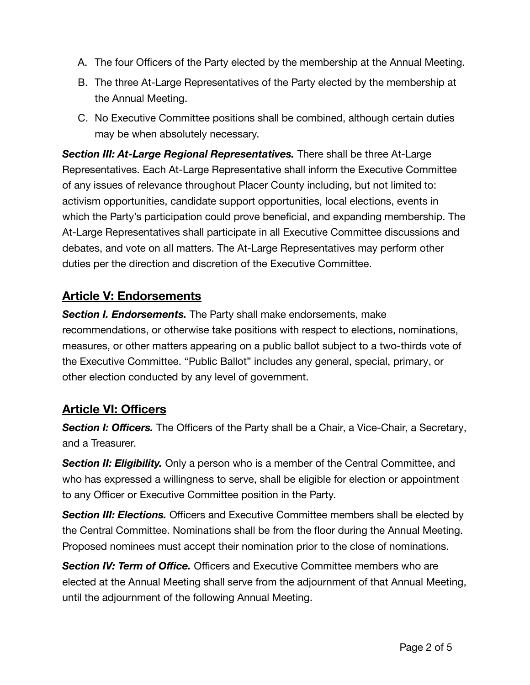- A. The four Officers of the Party elected by the membership at the Annual Meeting.
- B. The three At-Large Representatives of the Party elected by the membership at the Annual Meeting.
- C. No Executive Committee positions shall be combined, although certain duties may be when absolutely necessary.

*Section III: At-Large Regional Representatives.* There shall be three At-Large Representatives. Each At-Large Representative shall inform the Executive Committee of any issues of relevance throughout Placer County including, but not limited to: activism opportunities, candidate support opportunities, local elections, events in which the Party's participation could prove beneficial, and expanding membership. The At-Large Representatives shall participate in all Executive Committee discussions and debates, and vote on all matters. The At-Large Representatives may perform other duties per the direction and discretion of the Executive Committee.

## **Article V: Endorsements**

*Section I. Endorsements.* The Party shall make endorsements, make recommendations, or otherwise take positions with respect to elections, nominations, measures, or other matters appearing on a public ballot subject to a two-thirds vote of the Executive Committee. "Public Ballot" includes any general, special, primary, or other election conducted by any level of government.

## **Article VI: Officers**

**Section I: Officers.** The Officers of the Party shall be a Chair, a Vice-Chair, a Secretary, and a Treasurer.

**Section II: Eligibility.** Only a person who is a member of the Central Committee, and who has expressed a willingness to serve, shall be eligible for election or appointment to any Officer or Executive Committee position in the Party.

**Section III: Elections.** Officers and Executive Committee members shall be elected by the Central Committee. Nominations shall be from the floor during the Annual Meeting. Proposed nominees must accept their nomination prior to the close of nominations.

*Section IV: Term of Office.* Officers and Executive Committee members who are elected at the Annual Meeting shall serve from the adjournment of that Annual Meeting, until the adjournment of the following Annual Meeting.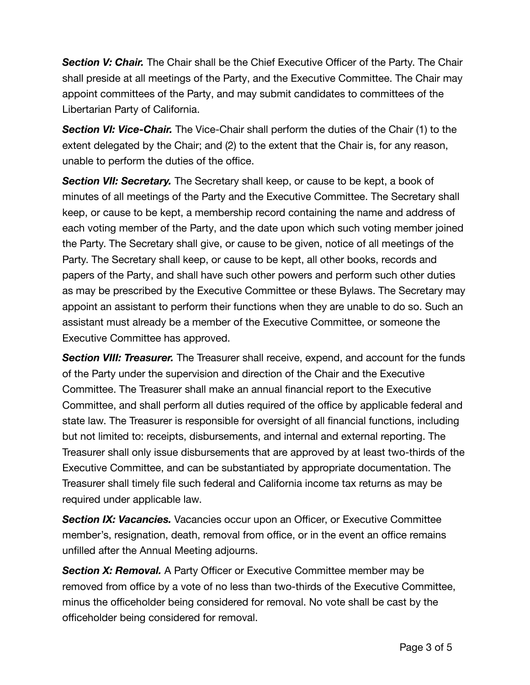**Section V: Chair.** The Chair shall be the Chief Executive Officer of the Party. The Chair shall preside at all meetings of the Party, and the Executive Committee. The Chair may appoint committees of the Party, and may submit candidates to committees of the Libertarian Party of California.

**Section VI: Vice-Chair.** The Vice-Chair shall perform the duties of the Chair (1) to the extent delegated by the Chair; and (2) to the extent that the Chair is, for any reason, unable to perform the duties of the office.

*Section VII: Secretary.* The Secretary shall keep, or cause to be kept, a book of minutes of all meetings of the Party and the Executive Committee. The Secretary shall keep, or cause to be kept, a membership record containing the name and address of each voting member of the Party, and the date upon which such voting member joined the Party. The Secretary shall give, or cause to be given, notice of all meetings of the Party. The Secretary shall keep, or cause to be kept, all other books, records and papers of the Party, and shall have such other powers and perform such other duties as may be prescribed by the Executive Committee or these Bylaws. The Secretary may appoint an assistant to perform their functions when they are unable to do so. Such an assistant must already be a member of the Executive Committee, or someone the Executive Committee has approved.

*Section VIII: Treasurer.* The Treasurer shall receive, expend, and account for the funds of the Party under the supervision and direction of the Chair and the Executive Committee. The Treasurer shall make an annual financial report to the Executive Committee, and shall perform all duties required of the office by applicable federal and state law. The Treasurer is responsible for oversight of all financial functions, including but not limited to: receipts, disbursements, and internal and external reporting. The Treasurer shall only issue disbursements that are approved by at least two-thirds of the Executive Committee, and can be substantiated by appropriate documentation. The Treasurer shall timely file such federal and California income tax returns as may be required under applicable law.

**Section IX: Vacancies.** Vacancies occur upon an Officer, or Executive Committee member's, resignation, death, removal from office, or in the event an office remains unfilled after the Annual Meeting adjourns.

**Section X: Removal.** A Party Officer or Executive Committee member may be removed from office by a vote of no less than two-thirds of the Executive Committee, minus the officeholder being considered for removal. No vote shall be cast by the officeholder being considered for removal.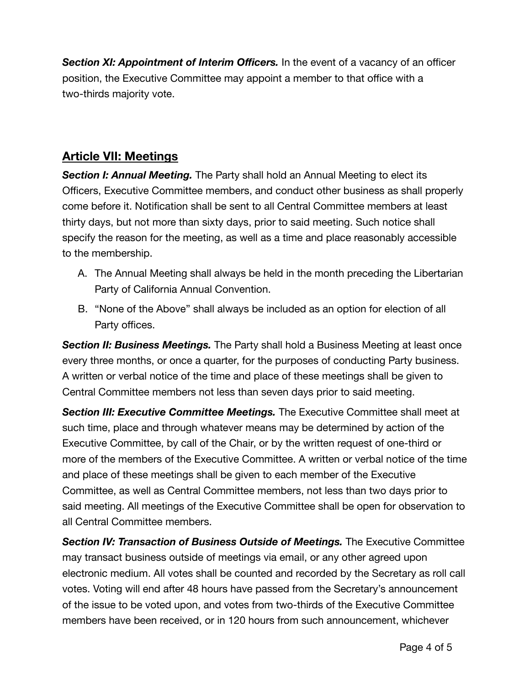**Section XI: Appointment of Interim Officers.** In the event of a vacancy of an officer position, the Executive Committee may appoint a member to that office with a two-thirds majority vote.

#### **Article VII: Meetings**

*Section I: Annual Meeting.* The Party shall hold an Annual Meeting to elect its Officers, Executive Committee members, and conduct other business as shall properly come before it. Notification shall be sent to all Central Committee members at least thirty days, but not more than sixty days, prior to said meeting. Such notice shall specify the reason for the meeting, as well as a time and place reasonably accessible to the membership.

- A. The Annual Meeting shall always be held in the month preceding the Libertarian Party of California Annual Convention.
- B. "None of the Above" shall always be included as an option for election of all Party offices.

**Section II: Business Meetings.** The Party shall hold a Business Meeting at least once every three months, or once a quarter, for the purposes of conducting Party business. A written or verbal notice of the time and place of these meetings shall be given to Central Committee members not less than seven days prior to said meeting.

*Section III: Executive Committee Meetings.* The Executive Committee shall meet at such time, place and through whatever means may be determined by action of the Executive Committee, by call of the Chair, or by the written request of one-third or more of the members of the Executive Committee. A written or verbal notice of the time and place of these meetings shall be given to each member of the Executive Committee, as well as Central Committee members, not less than two days prior to said meeting. All meetings of the Executive Committee shall be open for observation to all Central Committee members.

*Section IV: Transaction of Business Outside of Meetings.* The Executive Committee may transact business outside of meetings via email, or any other agreed upon electronic medium. All votes shall be counted and recorded by the Secretary as roll call votes. Voting will end after 48 hours have passed from the Secretary's announcement of the issue to be voted upon, and votes from two-thirds of the Executive Committee members have been received, or in 120 hours from such announcement, whichever